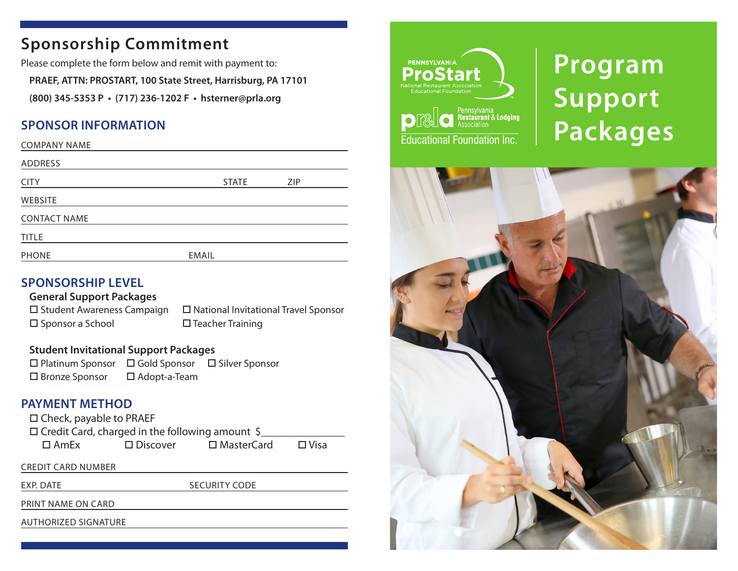## **Sponsorship Commitment**

Please complete the form below and remit with payment to:

**PRAEF, ATTN: PROSTART, 100 State Street, Harrisburg, PA 17101**

**(800) 345-5353 P • (717) 236-1202 F • hsterner@prla.org** 

#### **SPONSOR INFORMATION**

| <b>COMPANY NAME</b> |              |     |
|---------------------|--------------|-----|
| ADDRESS             |              |     |
| <b>CITY</b>         | <b>STATE</b> | ZIP |
| <b>WEBSITE</b>      |              |     |
| <b>CONTACT NAME</b> |              |     |
| <b>TITLE</b>        |              |     |
| <b>PHONE</b>        | <b>EMAIL</b> |     |

#### **SPONSORSHIP LEVEL**

**General Support Packages**  $\square$  Student Awareness Campaign  $\square$  National Invitational Travel Sponsor  $\square$  Sponsor a School  $\square$  Teacher Training

#### **Student Invitational Support Packages**

 $\square$  Platinum Sponsor  $\square$  Gold Sponsor  $\square$  Silver Sponsor  $\square$  Bronze Sponsor  $\square$  Adopt-a-Team

#### **PAYMENT METHOD**

 $\square$  Check, payable to PRAEF

 $\Box$  Credit Card, charged in the following amount \$  $\square$  AmEx  $\square$  Discover  $\square$  MasterCard  $\square$  Visa

CREDIT CARD NUMBER

EXP. DATE SECURITY CODE

PRINT NAME ON CARD

AUTHORIZED SIGNATURE



# **Program Support Packages**